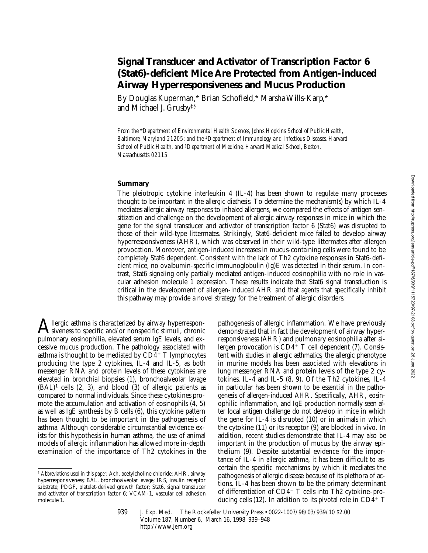# **Signal Transducer and Activator of Transcription Factor 6 (Stat6)-deficient Mice Are Protected from Antigen-induced Airway Hyperresponsiveness and Mucus Production**

By Douglas Kuperman,\* Brian Schofield,\* Marsha Wills-Karp,\* and Michael J. Grusby‡§

*From the* \**Department of Environmental Health Sciences, Johns Hopkins School of Public Health, Baltimore, Maryland 21205; and the* ‡*Department of Immunology and Infectious Diseases, Harvard School of Public Health, and* §*Department of Medicine, Harvard Medical School, Boston, Massachusetts 02115*

### **Summary**

The pleiotropic cytokine interleukin 4 (IL-4) has been shown to regulate many processes thought to be important in the allergic diathesis. To determine the mechanism(s) by which IL-4 mediates allergic airway responses to inhaled allergens, we compared the effects of antigen sensitization and challenge on the development of allergic airway responses in mice in which the gene for the signal transducer and activator of transcription factor 6 (Stat6) was disrupted to those of their wild-type littermates. Strikingly, Stat6-deficient mice failed to develop airway hyperresponsiveness (AHR), which was observed in their wild-type littermates after allergen provocation. Moreover, antigen-induced increases in mucus-containing cells were found to be completely Stat6 dependent. Consistent with the lack of Th2 cytokine responses in Stat6-deficient mice, no ovalbumin-specific immunoglobulin (Ig)E was detected in their serum. In contrast, Stat6 signaling only partially mediated antigen-induced eosinophilia with no role in vascular adhesion molecule 1 expression. These results indicate that Stat6 signal transduction is critical in the development of allergen-induced AHR and that agents that specifically inhibit this pathway may provide a novel strategy for the treatment of allergic disorders.

Allergic asthma is characterized by airway hyperrespon-<br>siveness to specific and/or nonspecific stimuli, chronic pulmonary eosinophilia, elevated serum IgE levels, and excessive mucus production. The pathology associated with asthma is thought to be mediated by  $CD4^+$  T lymphocytes producing the type 2 cytokines, IL-4 and IL-5, as both messenger RNA and protein levels of these cytokines are elevated in bronchial biopsies (1), bronchoalveolar lavage  $(BAL)^1$  cells  $(2, 3)$ , and blood  $(3)$  of allergic patients as compared to normal individuals. Since these cytokines promote the accumulation and activation of eosinophils (4, 5) as well as IgE synthesis by B cells (6), this cytokine pattern has been thought to be important in the pathogenesis of asthma. Although considerable circumstantial evidence exists for this hypothesis in human asthma, the use of animal models of allergic inflammation has allowed more in-depth examination of the importance of Th2 cytokines in the

pathogenesis of allergic inflammation. We have previously demonstrated that in fact the development of airway hyperresponsiveness (AHR) and pulmonary eosinophilia after allergen provocation is  $CD4^+$  T cell dependent (7). Consistent with studies in allergic asthmatics, the allergic phenotype in murine models has been associated with elevations in lung messenger RNA and protein levels of the type 2 cytokines, IL-4 and IL-5 (8, 9). Of the Th2 cytokines, IL-4 in particular has been shown to be essential in the pathogenesis of allergen-induced AHR. Specifically, AHR, eosinophilic inflammation, and IgE production normally seen after local antigen challenge do not develop in mice in which the gene for IL-4 is disrupted (10) or in animals in which the cytokine (11) or its receptor (9) are blocked in vivo. In addition, recent studies demonstrate that IL-4 may also be important in the production of mucus by the airway epithelium (9). Despite substantial evidence for the importance of IL-4 in allergic asthma, it has been difficult to ascertain the specific mechanisms by which it mediates the pathogenesis of allergic disease because of its plethora of actions. IL-4 has been shown to be the primary determinant of differentiation of  $CD4^+$  T cells into Th2 cytokine–producing cells (12). In addition to its pivotal role in  $CD4^+$  T

<sup>1</sup> *Abbreviations used in this paper:* Ach, acetylcholine chloride; AHR, airway hyperresponsiveness; BAL, bronchoalveolar lavage; IRS, insulin receptor substrate; PDGF, platelet-derived growth factor; Stat6, signal transducer and activator of transcription factor 6; VCAM-1, vascular cell adhesion molecule 1.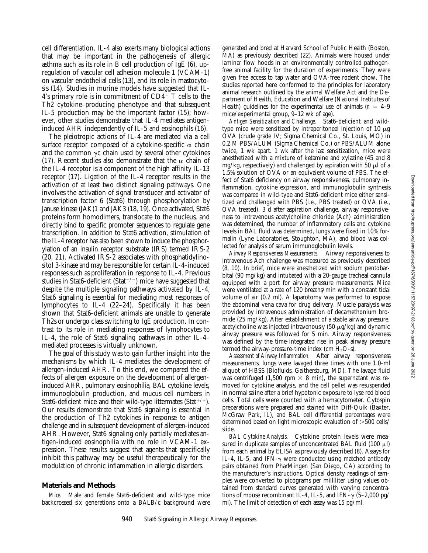cell differentiation, IL-4 also exerts many biological actions that may be important in the pathogenesis of allergic asthma such as its role in B cell production of IgE (6), upregulation of vascular cell adhesion molecule 1 (VCAM-1) on vascular endothelial cells (13), and its role in mastocytosis (14). Studies in murine models have suggested that IL-4's primary role is in commitment of  $CD4^+$  T cells to the Th2 cytokine–producing phenotype and that subsequent IL-5 production may be the important factor (15); however, other studies demonstrate that IL-4 mediates antigeninduced AHR independently of IL-5 and eosinophils (16).

The pleiotropic actions of IL-4 are mediated via a cell surface receptor composed of a cytokine-specific  $\alpha$  chain and the common  $\gamma c$  chain used by several other cytokines (17). Recent studies also demonstrate that the  $\alpha$  chain of the IL-4 receptor is a component of the high affinity IL-13 receptor (17). Ligation of the IL-4 receptor results in the activation of at least two distinct signaling pathways. One involves the activation of signal transducer and activator of transcription factor 6 (Stat6) through phosphorylation by Januse kinase (JAK)1 and JAK3 (18, 19). Once activated, Stat6 proteins form homodimers, translocate to the nucleus, and directly bind to specific promoter sequences to regulate gene transcription. In addition to Stat6 activation, stimulation of the IL-4 receptor has also been shown to induce the phosphorylation of an insulin receptor substrate (IRS) termed IRS-2 (20, 21). Activated IRS-2 associates with phosphatidylinositol 3-kinase and may be responsible for certain IL-4–induced responses such as proliferation in response to IL-4. Previous studies in Stat6-deficient (Stat<sup> $-/-$ </sup>) mice have suggested that despite the multiple signaling pathways activated by IL-4, Stat6 signaling is essential for mediating most responses of lymphocytes to IL-4 (22–24). Specifically it has been shown that Stat6-deficient animals are unable to generate Th2s or undergo class switching to IgE production. In contrast to its role in mediating responses of lymphocytes to IL-4, the role of Stat6 signaling pathways in other IL-4– mediated processes is virtually unknown.

The goal of this study was to gain further insight into the mechanisms by which IL-4 mediates the development of allergen-induced AHR. To this end, we compared the effects of allergen exposure on the development of allergeninduced AHR, pulmonary eosinophilia, BAL cytokine levels, immunoglobulin production, and mucus cell numbers in Stat6-deficient mice and their wild-type littermates (Stat<sup>+/+</sup>). Our results demonstrate that Stat6 signaling is essential in the production of Th2 cytokines in response to antigen challenge and in subsequent development of allergen-induced AHR. However, Stat6 signaling only partially mediates antigen-induced eosinophilia with no role in VCAM-1 expression. These results suggest that agents that specifically inhibit this pathway may be useful therapeutically for the modulation of chronic inflammation in allergic disorders.

#### **Materials and Methods**

*Mice.* Male and female Stat6-deficient and wild-type mice backcrossed six generations onto a BALB/c background were generated and bred at Harvard School of Public Health (Boston, MA) as previously described (22). Animals were housed under laminar flow hoods in an environmentally controlled pathogenfree animal facility for the duration of experiments. They were given free access to tap water and OVA-free rodent chow. The studies reported here conformed to the principles for laboratory animal research outlined by the animal Welfare Act and the Department of Health, Education and Welfare (National Institutes of Health) guidelines for the experimental use of animals  $(n = 4-9)$ mice/experimental group, 9–12 wk of age).

*Antigen Sensitization and Challenge.* Stat6-deficient and wildtype mice were sensitized by intraperitoneal injection of 10  $\mu$ g OVA (crude grade IV; Sigma Chemical Co., St. Louis, MO) in 0.2 M PBS/ALUM (Sigma Chemical Co.) or PBS/ALUM alone twice, 1 wk apart. 1 wk after the last sensitization, mice were anesthetized with a mixture of ketamine and xylazine (45 and 8 mg/kg, respectively) and challenged by aspiration with 50  $\mu$ l of a 1.5% solution of OVA or an equivalent volume of PBS. The effect of Stat6 deficiency on airway responsiveness, pulmonary inflammation, cytokine expression, and immunoglobulin synthesis was compared in wild-type and Stat6-deficient mice either sensitized and challenged with PBS (i.e., PBS treated) or OVA (i.e., OVA treated). 3 d after aspiration challenge, airway responsiveness to intravenous acetylcholine chloride (Ach) administration was determined, the number of inflammatory cells and cytokine levels in BAL fluid was determined, lungs were fixed in 10% formalin (Lyne Laboratories, Stoughton, MA), and blood was collected for analysis of serum immunoglobulin levels.

*Airway Responsiveness Measurements.* Airway responsiveness to intravenous Ach challenge was measured as previously described (8, 10). In brief, mice were anesthetized with sodium pentobarbital (90 mg/kg) and intubated with a 20-gauge tracheal cannula equipped with a port for airway pressure measurements. Mice were ventilated at a rate of 120 breaths/min with a constant tidal volume of air (0.2 ml). A laparotomy was performed to expose the abdominal vena cava for drug delivery. Muscle paralysis was provided by intravenous administration of decamethonium bromide (25 mg/kg). After establishment of a stable airway pressure, acetylcholine was injected intravenously (50  $\mu$ g/kg) and dynamic airway pressure was followed for 5 min. Airway responsiveness was defined by the time-integrated rise in peak airway pressure termed the airway-pressure-time index (cm  $H_2O-s$ ).

*Assessment of Airway Inflammation.* After airway responsiveness measurements, lungs were lavaged three times with one 1.0-ml aliquot of HBSS (Biofluids, Gaithersburg, MD). The lavage fluid was centrifuged (1,500 rpm  $\times$  8 min), the supernatant was removed for cytokine analysis, and the cell pellet was resuspended in normal saline after a brief hypotonic exposure to lyse red blood cells. Total cells were counted with a hemacytometer. Cytospin preparations were prepared and stained with Diff-Quik (Baxter, McGraw Park, IL), and BAL cell differential percentages were determined based on light microscopic evaluation of  $>500$  cells/ slide.

*BAL Cytokine Analysis.* Cytokine protein levels were measured in duplicate samples of unconcentrated BAL fluid  $(100 \mu l)$ from each animal by ELISA as previously described (8). Assays for IL-4, IL-5, and IFN- $\gamma$  were conducted using matched antibody pairs obtained from PharMingen (San Diego, CA) according to the manufacturer's instructions. Optical density readings of samples were converted to picograms per milliliter using values obtained from standard curves generated with varying concentrations of mouse recombinant IL-4, IL-5, and IFN- $\gamma$  (5–2,000 pg/ ml). The limit of detection of each assay was 15 pg/ml.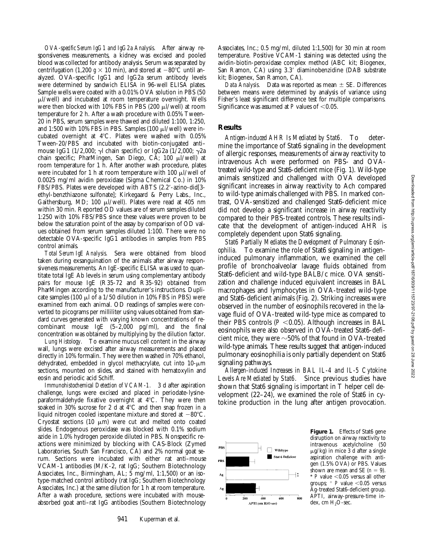*OVA-specific Serum IgG1 and IgG2a Analysis.* After airway responsiveness measurements, a kidney was excised and pooled blood was collected for antibody analysis. Serum was separated by centrifugation (1,200  $g \times 10$  min), and stored at  $-80^{\circ}$ C until analyzed. OVA-specific IgG1 and IgG2a serum antibody levels were determined by sandwich ELISA in 96-well ELISA plates. Sample wells were coated with a 0.01% OVA solution in PBS (50  $\mu$ l/well) and incubated at room temperature overnight. Wells were then blocked with  $10\%$  FBS in PBS (200  $\mu$ l/well) at room temperature for 2 h. After a wash procedure with 0.05% Tween-20 in PBS, serum samples were thawed and diluted 1:100, 1:250, and 1:500 with 10% FBS in PBS. Samples (100  $\mu$ l/well) were incubated overnight at  $4^{\circ}$ C. Plates were washed with 0.05% Tween-20/PBS and incubated with biotin-conjugated anti– mouse IgG1 (1/2,000;  $\gamma$ l chain specific) or IgG2a (1/2,000;  $\gamma$ 2a chain specific; PharMingen, San Diego, CA; 100  $\mu$ l/well) at room temperature for 1 h. After another wash procedure, plates were incubated for 1 h at room temperature with 100  $\mu$ I/well of 0.0025 mg/ml avidin peroxidase (Sigma Chemical Co.) in 10% FBS/PBS. Plates were developed with ABTS (2.2'-azino-did[3ethyl-benzthiazone sulfonate]; Kirkegaard & Perry Labs., Inc., Gaithersburg, MD; 100  $\mu$ l/well). Plates were read at 405 nm within 30 min. Reported OD values are of serum samples diluted 1:250 with 10% FBS/PBS since these values were proven to be below the saturation point of the assay by comparison of OD values obtained from serum samples diluted 1:100. There were no detectable OVA-specific IgG1 antibodies in samples from PBS control animals.

*Total Serum IgE Analysis.* Sera were obtained from blood taken during exsanguination of the animals after airway responsiveness measurements. An IgE-specific ELISA was used to quantitate total IgE Ab levels in serum using complementary antibody pairs for mouse IgE (R35-72 and R35-92) obtained from PharMingen according to the manufacturer's instructions. Duplicate samples (100  $\mu$ l of a 1/50 dilution in 10% FBS in PBS) were examined from each animal. OD readings of samples were converted to picograms per milliliter using values obtained from standard curves generated with varying known concentrations of recombinant mouse IgE (5–2,000 pg/ml), and the final concentration was obtained by multiplying by the dilution factor.

*Lung Histology.* To examine mucus cell content in the airway wall, lungs were excised after airway measurements and placed directly in 10% formalin. They were then washed in 70% ethanol, dehydrated, embedded in glycol methacrylate, cut into  $10$ - $\mu$ m sections, mounted on slides, and stained with hematoxylin and eosin and periodic acid Schiff.

*Immunohistochemical Detection of VCAM-1.* 3 d after aspiration challenge, lungs were excised and placed in periodate-lysineparaformaldehyde fixative overnight at  $4^{\circ}$ C. They were then soaked in 30% sucrose for 2 d at  $4^{\circ}$ C and then snap frozen in a liquid nitrogen cooled isopentane mixture and stored at  $-80^{\circ}$ C. Cryostat sections (10  $\mu$ m) were cut and melted onto coated slides. Endogenous peroxidase was blocked with 0.1% sodium azide in 1.0% hydrogen peroxide diluted in PBS. Nonspecific reactions were minimized by blocking with CAS-Block (Zymed Laboratories, South San Francisco, CA) and 2% normal goat serum. Sections were incubated with either rat anti–mouse VCAM-1 antibodies (M/K-2, rat IgG; Southern Biotechnology Associates, Inc., Birmingham, AL; 5 mg/ml, 1:1,500) or an isotype-matched control antibody (rat IgG; Southern Biotechnology Associates, Inc.) at the same dilution for 1 h at room temperature. After a wash procedure, sections were incubated with mouseabsorbed goat anti–rat IgG antibodies (Southern Biotechnology

Associates, Inc.; 0.5 mg/ml, diluted 1:1,500) for 30 min at room temperature. Positive VCAM-1 staining was detected using the avidin-biotin-peroxidase complex method (ABC kit; Biogenex, San Ramon, CA) using 3.3' diaminobenzidine (DAB substrate kit; Biogenex, San Ramon, CA).

*Data Analysis.* Data was reported as mean  $\pm$  SE. Differences between means were determined by analysis of variance using Fisher's least significant difference test for multiple comparisons. Significance was assumed at  $P$  values of  $< 0.05$ .

# **Results**

*Antigen-induced AHR Is Mediated by Stat6.* To determine the importance of Stat6 signaling in the development of allergic responses, measurements of airway reactivity to intravenous Ach were performed on PBS- and OVAtreated wild-type and Stat6-deficient mice (Fig. 1). Wild-type animals sensitized and challenged with OVA developed significant increases in airway reactivity to Ach compared to wild-type animals challenged with PBS. In marked contrast, OVA-sensitized and challenged Stat6-deficient mice did not develop a significant increase in airway reactivity compared to their PBS-treated controls. These results indicate that the development of antigen-induced AHR is completely dependent upon Stat6 signaling.

*Stat6 Partially Mediates the Development of Pulmonary Eosinophilia.* To examine the role of Stat6 signaling in antigeninduced pulmonary inflammation, we examined the cell profile of bronchoalveolar lavage fluids obtained from Stat6-deficient and wild-type BALB/c mice. OVA sensitization and challenge induced equivalent increases in BAL macrophages and lymphocytes in OVA-treated wild-type and Stat6-deficient animals (Fig. 2). Striking increases were observed in the number of eosinophils recovered in the lavage fluid of OVA-treated wild-type mice as compared to their PBS controls  $(P \le 0.05)$ . Although increases in BAL eosinophils were also observed in OVA-treated Stat6-deficient mice, they were  $\sim$  50% of that found in OVA-treated wild-type animals. These results suggest that antigen-induced pulmonary eosinophilia is only partially dependent on Stat6 signaling pathways.

*Allergen-induced Increases in BAL IL-4 and IL-5 Cytokine Levels Are Mediated by Stat6.* Since previous studies have shown that Stat6 signaling is important in T helper cell development (22–24), we examined the role of Stat6 in cytokine production in the lung after antigen provocation.



Figure 1. Effects of Stat6 gene disruption on airway reactivity to intravenous acetylcholine (50  $\mu$ g/kg) in mice 3 d after a single aspiration challenge with antigen (1.5% OVA) or PBS. Values shown are mean and SE  $(n = 9)$ . \*  $P$  value <0.05 versus all other groups;  $+$  *P* value <0.05 versus Ag-treated Stat6-deficient group. APTI, airway-pressure-time index, cm  $H_2O$ -sec.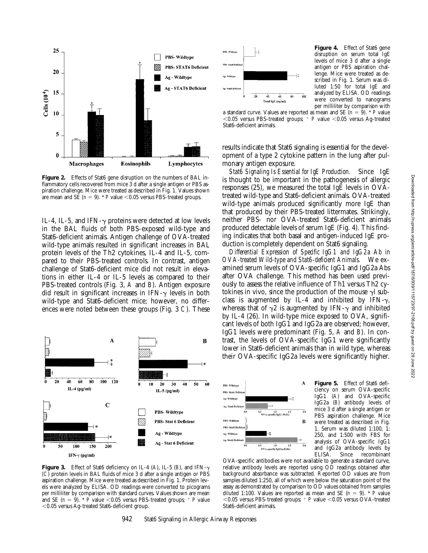

Figure 2. Effects of Stat6 gene disruption on the numbers of BAL inflammatory cells recovered from mice 3 d after a single antigen or PBS aspiration challenge. Mice were treated as described in Fig. 1. Values shown are mean and SE  $(n = 9)$ . *\*P* value <0.05 versus PBS-treated groups.

IL-4, IL-5, and IFN- $\gamma$  proteins were detected at low levels in the BAL fluids of both PBS-exposed wild-type and Stat6-deficient animals. Antigen challenge of OVA-treated wild-type animals resulted in significant increases in BAL protein levels of the Th2 cytokines, IL-4 and IL-5, compared to their PBS-treated controls. In contrast, antigen challenge of Stat6-deficient mice did not result in elevations in either IL-4 or IL-5 levels as compared to their PBS-treated controls (Fig. 3, *A* and *B*). Antigen exposure did result in significant increases in IFN- $\gamma$  levels in both wild-type and Stat6-deficient mice; however, no differences were noted between these groups (Fig. 3 *C*). These



**Figure 3.** Effect of Stat6 deficiency on IL-4 (A), IL-5 (B), and IFN- $\gamma$ (*C*) protein levels in BAL fluids of mice 3 d after a single antigen or PBS aspiration challenge. Mice were treated as described in Fig. 1. Protein levels were analyzed by ELISA. OD readings were converted to picograms per milliliter by comparison with standard curves. Values shown are mean and SE ( $n = 9$ ). \*  $\vec{P}$  value <0.05 versus PBS-treated groups; <sup>+</sup> *P* value ,0.05 versus Ag-treated Stat6-deficient group.



**Figure 4.** Effect of Stat6 gene disruption on serum total IgE levels of mice 3 d after a single antigen or PBS aspiration challenge. Mice were treated as described in Fig. 1. Serum was diluted 1:50 for total IgE and analyzed by ELISA. OD readings were converted to nanograms per milliliter by comparison with

a standard curve. Values are reported as mean and SE  $(n = 9)$ . \* *P* value  $<$ 0.05 versus PBS-treated groups;  $+$  *P* value  $<$ 0.05 versus Ag-treated Stat6-deficient animals.

results indicate that Stat6 signaling is essential for the development of a type 2 cytokine pattern in the lung after pulmonary antigen exposure.

*Stat6 Signaling Is Essential for IgE Production.* Since IgE is thought to be important in the pathogenesis of allergic responses (25), we measured the total IgE levels in OVAtreated wild-type and Stat6-deficient animals. OVA-treated wild-type animals produced significantly more IgE than that produced by their PBS-treated littermates. Strikingly, neither PBS- nor OVA-treated Stat6-deficient animals produced detectable levels of serum IgE (Fig. 4). This finding indicates that both basal and antigen-induced IgE production is completely dependent on Stat6 signaling.

*Differential Expression of Specific IgG1 and IgG2a Ab in OVA-treated Wild-type and Stat6-deficient Animals.* We examined serum levels of OVA-specific IgG1 and IgG2a Abs after OVA challenge. This method has been used previously to assess the relative influence of Th1 versus Th2 cytokines in vivo, since the production of the mouse  $\gamma$  subclass is augmented by IL-4 and inhibited by IFN- $\gamma$ , whereas that of  $\gamma$ 2 is augmented by IFN- $\gamma$  and inhibited by IL-4 (26). In wild-type mice exposed to OVA, significant levels of both IgG1 and IgG2a are observed; however, IgG1 levels were predominant (Fig. 5, *A* and *B*). In contrast, the levels of OVA-specific IgG1 were significantly lower in Stat6-deficient animals than in wild type, whereas their OVA-specific IgG2a levels were significantly higher.



**Figure 5.** Effect of Stat6 deficiency on serum OVA-specific IgG1 (*A*) and OVA-specific IgG2a (*B*) antibody levels of mice 3 d after a single antigen or PBS aspiration challenge. Mice were treated as described in Fig. 1. Serum was diluted 1:100, 1: 250, and 1:500 with FBS for analysis of OVA-specific IgG1 and IgG2a antibody levels by ELISA. Since recombinant

OVA-specific antibodies were not available to generate a standard curve, relative antibody levels are reported using OD readings obtained after background absorbance was subtracted. Reported OD values are from samples diluted 1:250, all of which were below the saturation point of the assay as demonstrated by comparison to OD values obtained from samples diluted 1:100. Values are reported as mean and SE  $(n = 9)$ . *\* P* value  $<$ 0.05 versus PBS-treated groups;  $+$  *P* value  $<$ 0.05 versus OVA-treated Stat6-deficient animals.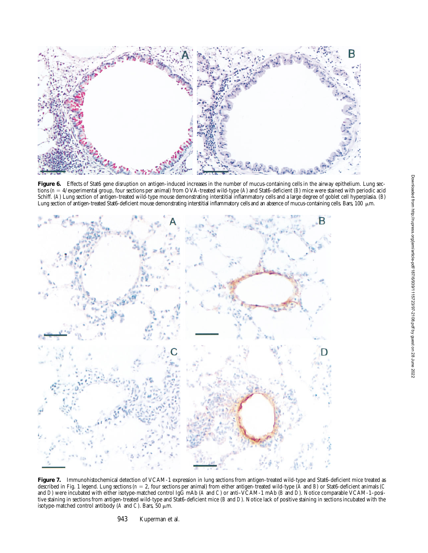

Figure 6. Effects of Stat6 gene disruption on antigen-induced increases in the number of mucus-containing cells in the airway epithelium. Lung sections (*n* 5 4/experimental group, four sections per animal) from OVA-treated wild-type (*A*) and Stat6-deficient (*B*) mice were stained with periodic acid Schiff. (*A*) Lung section of antigen-treated wild-type mouse demonstrating interstitial inflammatory cells and a large degree of goblet cell hyperplasia. (*B*) Lung section of antigen-treated Stat6-deficient mouse demonstrating interstitial inflammatory cells and an absence of mucus-containing cells. Bars, 100 µm.



**Figure 7.** Immunohistochemical detection of VCAM-1 expression in lung sections from antigen-treated wild-type and Stat6-deficient mice treated as described in Fig. 1 legend. Lung sections ( $n = 2$ , four sections per animal) from either antigen-treated wild-type ( $\overline{A}$  and  $\overline{B}$ ) or Stat6-deficient animals ( $C$ and *D*) were incubated with either isotype-matched control IgG mAb (*A* and *C*) or anti–VCAM-1 mAb (*B* and *D*). Notice comparable VCAM-1–positive staining in sections from antigen-treated wild-type and Stat6-deficient mice (*B* and *D*). Notice lack of positive staining in sections incubated with the isotype-matched control antibody (A and C). Bars, 50  $\mu$ m.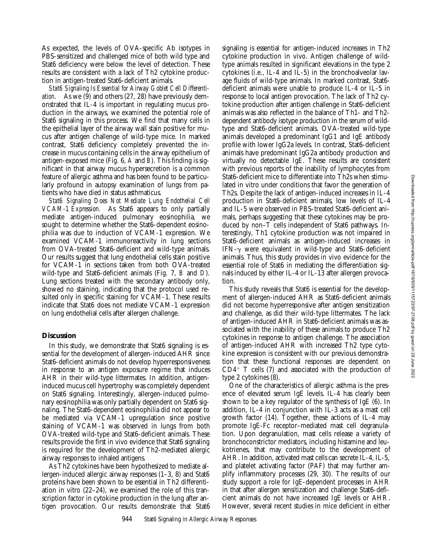As expected, the levels of OVA-specific Ab isotypes in PBS-sensitized and challenged mice of both wild type and Stat6 deficiency were below the level of detection. These results are consistent with a lack of Th2 cytokine production in antigen-treated Stat6-deficient animals.

*Stat6 Signaling Is Essential for Airway Goblet Cell Differentiation.* As we (9) and others (27, 28) have previously demonstrated that IL-4 is important in regulating mucus production in the airways, we examined the potential role of Stat6 signaling in this process. We find that many cells in the epithelial layer of the airway wall stain positive for mucus after antigen challenge of wild-type mice. In marked contrast, Stat6 deficiency completely prevented the increase in mucus containing cells in the airway epithelium of antigen-exposed mice (Fig. 6, *A* and *B*). This finding is significant in that airway mucus hypersecretion is a common feature of allergic asthma and has been found to be particularly profound in autopsy examination of lungs from patients who have died in status asthmaticus.

*Stat6 Signaling Does Not Mediate Lung Endothelial Cell VCAM-1 Expression.* As Stat6 appears to only partially mediate antigen-induced pulmonary eosinophilia, we sought to determine whether the Stat6-dependent eosinophilia was due to induction of VCAM-1 expression. We examined VCAM-1 immunoreactivity in lung sections from OVA-treated Stat6-deficient and wild-type animals. Our results suggest that lung endothelial cells stain positive for VCAM-1 in sections taken from both OVA-treated wild-type and Stat6-deficient animals (Fig. 7, *B* and *D*). Lung sections treated with the secondary antibody only, showed no staining, indicating that the protocol used resulted only in specific staining for VCAM-1. These results indicate that Stat6 does not mediate VCAM-1 expression on lung endothelial cells after allergen challenge.

# **Discussion**

In this study, we demonstrate that Stat6 signaling is essential for the development of allergen-induced AHR since Stat6-deficient animals do not develop hyperresponsiveness in response to an antigen exposure regime that induces AHR in their wild-type littermates. In addition, antigeninduced mucus cell hypertrophy was completely dependent on Stat6 signaling. Interestingly, allergen-induced pulmonary eosinophilia was only partially dependent on Stat6 signaling. The Stat6-dependent eosinophilia did not appear to be mediated via VCAM-1 upregulation since positive staining of VCAM-1 was observed in lungs from both OVA-treated wild-type and Stat6-deficient animals. These results provide the first in vivo evidence that Stat6 signaling is required for the development of Th2-mediated allergic airway responses to inhaled antigens.

As Th2 cytokines have been hypothesized to mediate allergen-induced allergic airway responses (1–3, 8) and Stat6 proteins have been shown to be essential in Th2 differentiation in vitro (22–24), we examined the role of this transcription factor in cytokine production in the lung after antigen provocation. Our results demonstrate that Stat6 signaling is essential for antigen-induced increases in Th2 cytokine production in vivo. Antigen challenge of wildtype animals resulted in significant elevations in the type 2 cytokines (i.e., IL-4 and IL-5) in the bronchoalveolar lavage fluids of wild-type animals. In marked contrast, Stat6 deficient animals were unable to produce IL-4 or IL-5 in response to local antigen provocation. The lack of Th2 cytokine production after antigen challenge in Stat6-deficient animals was also reflected in the balance of Th1- and Th2 dependent antibody isotype production in the serum of wildtype and Stat6-deficient animals. OVA-treated wild-type animals developed a predominant IgG1 and IgE antibody profile with lower IgG2a levels. In contrast, Stat6-deficient animals have predominant IgG2a antibody production and virtually no detectable IgE. These results are consistent with previous reports of the inability of lymphocytes from Stat6-deficient mice to differentiate into Th2s when stimulated in vitro under conditions that favor the generation of Th2s. Despite the lack of antigen-induced increases in IL-4 production in Stat6-deficient animals, low levels of IL-4 and IL-5 were observed in PBS-treated Stat6-deficient animals, perhaps suggesting that these cytokines may be produced by non–T cells independent of Stat6 pathways. Interestingly, Th1 cytokine production was not impaired in Stat6-deficient animals as antigen-induced increases in IFN- $\gamma$  were equivalent in wild-type and Stat6-deficient animals. Thus, this study provides in vivo evidence for the essential role of Stat6 in mediating the differentiation signals induced by either IL-4 or IL-13 after allergen provocation.

This study reveals that Stat6 is essential for the development of allergen-induced AHR as Stat6-deficient animals did not become hyperresponsive after antigen sensitization and challenge, as did their wild-type littermates. The lack of antigen-induced AHR in Stat6-deficient animals was associated with the inability of these animals to produce Th2 cytokines in response to antigen challenge. The association of antigen-induced AHR with increased Th2 type cytokine expression is consistent with our previous demonstration that these functional responses are dependent on  $CD4^+$  T cells (7) and associated with the production of type 2 cytokines (8).

One of the characteristics of allergic asthma is the presence of elevated serum IgE levels. IL-4 has clearly been shown to be a key regulator of the synthesis of IgE (6). In addition, IL-4 in conjunction with IL-3 acts as a mast cell growth factor (14). Together, these actions of IL-4 may promote IgE-Fc receptor–mediated mast cell degranulation. Upon degranulation, mast cells release a variety of bronchoconstrictor mediators, including histamine and leukotrienes, that may contribute to the development of AHR. In addition, activated mast cells can secrete IL-4, IL-5, and platelet activating factor (PAF) that may further amplify inflammatory processes (29, 30). The results of our study support a role for IgE-dependent processes in AHR in that after allergen sensitization and challenge Stat6-deficient animals do not have increased IgE levels or AHR. However, several recent studies in mice deficient in either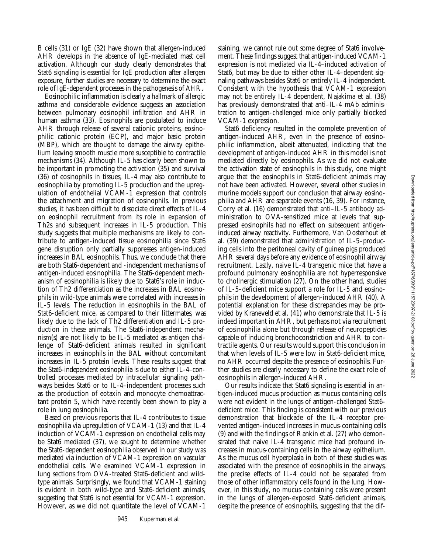B cells (31) or IgE (32) have shown that allergen-induced AHR develops in the absence of IgE-mediated mast cell activation. Although our study clearly demonstrates that Stat6 signaling is essential for IgE production after allergen exposure, further studies are necessary to determine the exact role of IgE-dependent processes in the pathogenesis of AHR.

Eosinophilic inflammation is clearly a hallmark of allergic asthma and considerable evidence suggests an association between pulmonary eosinophil infiltration and AHR in human asthma (33). Eosinophils are postulated to induce AHR through release of several cationic proteins, eosinophilic cationic protein (ECP), and major basic protein (MBP), which are thought to damage the airway epithelium leaving smooth muscle more susceptible to contractile mechanisms (34). Although IL-5 has clearly been shown to be important in promoting the activation (35) and survival (36) of eosinophils in tissues, IL-4 may also contribute to eosinophilia by promoting IL-5 production and the upregulation of endothelial VCAM-1 expression that controls the attachment and migration of eosinophils. In previous studies, it has been difficult to dissociate direct effects of IL-4 on eosinophil recruitment from its role in expansion of Th2s and subsequent increases in IL-5 production. This study suggests that multiple mechanisms are likely to contribute to antigen-induced tissue eosinophilia since Stat6 gene disruption only partially suppresses antigen-induced increases in BAL eosinophils. Thus, we conclude that there are both Stat6-dependent and -independent mechanisms of antigen-induced eosinophilia. The Stat6-dependent mechanism of eosinophilia is likely due to Stat6's role in induction of Th2 differentiation as the increases in BAL eosinophils in wild-type animals were correlated with increases in IL-5 levels. The reduction in eosinophils in the BAL of Stat6-deficient mice, as compared to their littermates, was likely due to the lack of Th2 differentiation and IL-5 production in these animals. The Stat6-independent mechanism(s) are not likely to be IL-5 mediated as antigen challenge of Stat6-deficient animals resulted in significant increases in eosinophils in the BAL without concomitant increases in IL-5 protein levels. These results suggest that the Stat6-independent eosinophilia is due to either IL-4–controlled processes mediated by intracellular signaling pathways besides Stat6 or to IL-4–independent processes such as the production of eotaxin and monocyte chemoattractant protein 5, which have recently been shown to play a role in lung eosinophilia.

Based on previous reports that IL-4 contributes to tissue eosinophilia via upregulation of VCAM-1 (13) and that IL-4 induction of VCAM-1 expression on endothelial cells may be Stat6 mediated (37), we sought to determine whether the Stat6-dependent eosinophilia observed in our study was mediated via induction of VCAM-1 expression on vascular endothelial cells. We examined VCAM-1 expression in lung sections from OVA-treated Stat6-deficient and wildtype animals. Surprisingly, we found that VCAM-1 staining is evident in both wild-type and Stat6-deficient animals, suggesting that Stat6 is not essential for VCAM-1 expression. However, as we did not quantitate the level of VCAM-1

staining, we cannot rule out some degree of Stat6 involvement. These findings suggest that antigen-induced VCAM-1 expression is not mediated via IL-4–induced activation of Stat6, but may be due to either other IL-4–dependent signaling pathways besides Stat6 or entirely IL-4 independent. Consistent with the hypothesis that VCAM-1 expression may not be entirely IL-4 dependent, Najakima et al. (38) has previously demonstrated that anti–IL-4 mAb administration to antigen-challenged mice only partially blocked VCAM-1 expression.

Stat6 deficiency resulted in the complete prevention of antigen-induced AHR, even in the presence of eosinophilic inflammation, albeit attenuated, indicating that the development of antigen-induced AHR in this model is not mediated directly by eosinophils. As we did not evaluate the activation state of eosinophils in this study, one might argue that the eosinophils in Stat6-deficient animals may not have been activated. However, several other studies in murine models support our conclusion that airway eosinophilia and AHR are separable events (16, 39). For instance, Corry et al. (16) demonstrated that anti–IL-5 antibody administration to OVA-sensitized mice at levels that suppressed eosinophils had no effect on subsequent antigeninduced airway reactivity. Furthermore, Van Oosterhout et al. (39) demonstrated that administration of IL-5–producing cells into the peritoneal cavity of guinea pigs produced AHR several days before any evidence of eosinophil airway recruitment. Lastly, naive IL-4 transgenic mice that have a profound pulmonary eosinophilia are not hyperresponsive to cholinergic stimulation (27). On the other hand, studies of IL-5–deficient mice support a role for IL-5 and eosinophils in the development of allergen-induced AHR (40). A potential explanation for these discrepancies may be provided by Kraneveld et al. (41) who demonstrate that IL-5 is indeed important in AHR, but perhaps not via recruitment of eosinophilia alone but through release of neuropeptides capable of inducing bronchoconstriction and AHR to contractile agents. Our results would support this conclusion in that when levels of IL-5 were low in Stat6-deficient mice, no AHR occurred despite the presence of eosinophils. Further studies are clearly necessary to define the exact role of eosinophils in allergen-induced AHR.

Our results indicate that Stat6 signaling is essential in antigen-induced mucus production as mucus containing cells were not evident in the lungs of antigen-challenged Stat6 deficient mice. This finding is consistent with our previous demonstration that blockade of the IL-4 receptor prevented antigen-induced increases in mucus-containing cells (9) and with the findings of Rankin et al. (27) who demonstrated that naive IL-4 transgenic mice had profound increases in mucus-containing cells in the airway epithelium. As the mucus cell hyperplasia in both of these studies was associated with the presence of eosinophils in the airways, the precise effects of IL-4 could not be separated from those of other inflammatory cells found in the lung. However, in this study, no mucus-containing cells were present in the lungs of allergen-exposed Stat6-deficient animals, despite the presence of eosinophils, suggesting that the dif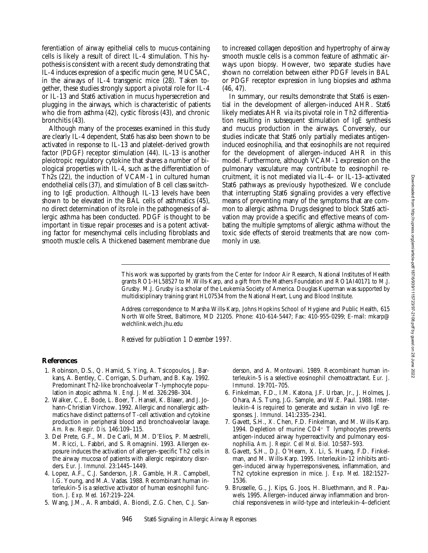ferentiation of airway epithelial cells to mucus-containing cells is likely a result of direct IL-4 stimulation. This hypothesis is consistent with a recent study demonstrating that IL-4 induces expression of a specific mucin gene, MUC5AC, in the airways of IL-4 transgenic mice (28). Taken together, these studies strongly support a pivotal role for IL-4 or IL-13 and Stat6 activation in mucus hypersecretion and plugging in the airways, which is characteristic of patients who die from asthma (42), cystic fibrosis (43), and chronic bronchitis (43).

Although many of the processes examined in this study are clearly IL-4 dependent, Stat6 has also been shown to be activated in response to IL-13 and platelet-derived growth factor (PDGF) receptor stimulation (44). IL-13 is another pleiotropic regulatory cytokine that shares a number of biological properties with IL-4, such as the differentiation of Th2s (22), the induction of VCAM-1 in cultured human endothelial cells (37), and stimulation of B cell class switching to IgE production. Although IL-13 levels have been shown to be elevated in the BAL cells of asthmatics (45), no direct determination of its role in the pathogenesis of allergic asthma has been conducted. PDGF is thought to be important in tissue repair processes and is a potent activating factor for mesenchymal cells including fibroblasts and smooth muscle cells. A thickened basement membrane due

to increased collagen deposition and hypertrophy of airway smooth muscle cells is a common feature of asthmatic airways upon biopsy. However, two separate studies have shown no correlation between either PDGF levels in BAL or PDGF receptor expression in lung biopsies and asthma (46, 47).

In summary, our results demonstrate that Stat6 is essential in the development of allergen-induced AHR. Stat6 likely mediates AHR via its pivotal role in Th2 differentiation resulting in subsequent stimulation of IgE synthesis and mucus production in the airways. Conversely, our studies indicate that Stat6 only partially mediates antigeninduced eosinophilia, and that eosinophils are not required for the development of allergen-induced AHR in this model. Furthermore, although VCAM-1 expression on the pulmonary vasculature may contribute to eosinophil recruitment, it is not mediated via IL-4– or IL-13–activated Stat6 pathways as previously hypothesized. We conclude that interrupting Stat6 signaling provides a very effective means of preventing many of the symptoms that are common to allergic asthma. Drugs designed to block Stat6 activation may provide a specific and effective means of combating the multiple symptoms of allergic asthma without the toxic side effects of steroid treatments that are now commonly in use.

This work was supported by grants from the Center for Indoor Air Research, National Institutes of Health grants RO1-HL58527 to M.Wills-Karp, and a gift from the Mathers Foundation and RO1AI40171 to M.J. Grusby. M.J. Grusby is a scholar of the Leukemia Society of America. Douglas Kuperman was supported by multidisciplinary training grant HL07534 from the National Heart, Lung and Blood Institute.

Address correspondence to Marsha Wills-Karp, Johns Hopkins School of Hygiene and Public Health, 615 North Wolfe Street, Baltimore, MD 21205. Phone: 410-614-5447; Fax: 410-955-0299; E-mail: mkarp@ welchlink.welch.jhu.edu

*Received for publication 1 December 1997.*

# **References**

- 1. Robinson, D.S., Q. Hamid, S. Ying, A. Tsicopoulos, J. Barkans, A. Bentley, C. Corrigan, S. Durham, and B. Kay. 1992. Predominant Th2-like bronchoalveolar T-lymphocyte population in atopic asthma. *N. Engl. J. Med.* 326:298–304.
- 2. Walker, C., E. Bode, L. Boer, T. Hansel, K. Blaser, and J. Johann-Christian Virchow. 1992. Allergic and nonallergic asthmatics have distinct patterns of T-cell activation and cytokine production in peripheral blood and bronchoalveolar lavage. *Am. Rev. Respir. Dis.* 146:109–115.
- 3. Del Prete, G.F., M. De Carli, M.M. D'Elios, P. Maestrelli, M. Ricci, L. Fabbri, and S. Romagnini. 1993. Allergen exposure induces the activation of allergen-specific Th2 cells in the airway mucosa of patients with allergic respiratory disorders. *Eur. J. Immunol.* 23:1445–1449.
- 4. Lopez, A.F., C.J. Sanderson, J.R. Gamble, H.R. Campbell, I.G. Young, and M.A. Vadas. 1988. Recombinant human interleukin-5 is a selective activator of human eosinophil function. *J. Exp. Med.* 167:219–224.
- 5. Wang, J.M., A. Rambaldi, A. Biondi, Z.G. Chen, C.J. San-

derson, and A. Montovani. 1989. Recombinant human interleukin-5 is a selective eosinophil chemoattractant. *Eur. J. Immunol.* 19:701–705.

- 6. Finkelman, F.D., I.M. Katona, J.F. Urban, Jr., J. Holmes, J. Ohara, A.S. Tung, J.G. Sample, and W.E. Paul. 1988. Interleukin-4 is required to generate and sustain in vivo IgE responses. *J. Immunol.* 141:2335–2341.
- 7. Gavett, S.H., X. Chen, F.D. Finkelman, and M. Wills-Karp. 1994. Depletion of murine  $CD4^+$  T lymphocytes prevents antigen-induced airway hyperreactivity and pulmonary eosinophilia. *Am. J. Respir. Cell Mol. Biol.* 10:587–593.
- 8. Gavett, S.H., D.J. O'Hearn, X. Li, S. Huang, F.D. Finkelman, and M. Wills-Karp. 1995. Interleukin-12 inhibits antigen-induced airway hyperresponsiveness, inflammation, and Th2 cytokine expression in mice. *J. Exp. Med.* 182:1527– 1536.
- 9. Brusselle, G., J. Kips, G. Joos, H. Bluethmann, and R. Pauwels. 1995. Allergen-induced airway inflammation and bronchial responsiveness in wild-type and interleukin-4–deficient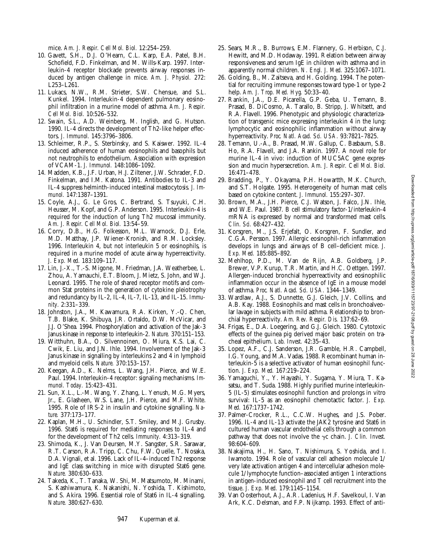Downloaded from http://rupress.org/jem/article-pdf/187/6/939/1115723/97-2108.pdf by guest on 28 June 2022 Downloaded from http://rupress.org/jem/article-pdf/187/6/939/1115723/97-2108.pdf by guest on 28 June 2022

mice. *Am. J. Respir. Cell Mol. Biol.* 12:254–259.

- 10. Gavett, S.H., D.J. O'Hearn, C.L. Karp, E.A. Patel, B.H. Schofield, F.D. Finkelman, and M. Wills-Karp. 1997. Interleukin-4 receptor blockade prevents airway responses induced by antigen challenge in mice. *Am. J. Physiol.* 272: L253–L261.
- 11. Lukacs, N.W., R.M. Strieter, S.W. Chensue, and S.L. Kunkel. 1994. Interleukin-4 dependent pulmonary eosinophil infiltration in a murine model of asthma. *Am. J. Respir. Cell Mol. Biol.* 10:526–532.
- 12. Swain, S.L., A.D. Weinberg, M. Inglish, and G. Hutson. 1990. IL-4 directs the development of Th2-like helper effectors. *J. Immunol.* 145:3796–3806.
- 13. Schleimer, R.P., S. Sterbinsky, and S. Kaiswer. 1992. IL-4 induced adherence of human eosinophils and basophils but not neutrophils to endothelium. Association with expression of VCAM-1. *J. Immunol.* 148:1086–1092.
- 14. Madden, K.B., J.F. Urban, H.J. Ziltener, J.W. Schrader, F.D. Finkelman, and I.M. Katona. 1991. Antibodies to IL-3 and IL-4 suppress helminth-induced intestinal mastocytosis. *J. Immunol.* 147:1387–1391.
- 15. Coyle, A.J., G. Le Gros, C. Bertrand, S. Tsuyuki, C.H. Heusser, M. Kopf, and G.P. Anderson. 1995. Interleukin-4 is required for the induction of lung Th2 mucosal immunity. *Am. J. Respir. Cell Mol. Biol.* 13:54–59.
- 16. Corry, D.B., H.G. Folkesson, M.L. Warnock, D.J. Erle, M.D. Matthay, J.P. Wiener-Kronish, and R.M. Locksley. 1996. Interleukin 4, but not interleukin 5 or eosinophils, is required in a murine model of acute airway hyperreactivity. *J. Exp. Med.* 183:109–117.
- 17. Lin, J.-X., T.-S. Migone, M. Friedman, J.A. Weatherbee, L. Zhou, A. Yamauchi, E.T. Bloom, J. Mietz, S. John, and W.J. Leonard. 1995. The role of shared receptor motifs and common Stat proteins in the generation of cytokine pleiotrophy and redundancy by IL-2, IL-4, IL-7, IL-13, and IL-15. *Immunity.* 2:331–339.
- 18. Johnston, J.A., M. Kawamura, R.A. Kirken, Y.-Q. Chen, T.B. Blake, K. Shibuya, J.R. Ortaldo, D.W. McVicar, and J.J. O'Shea. 1994. Phosphorylation and activation of the Jak-3 Janus kinase in response to interleukin-2. *Nature.* 370:151–153.
- 19. Witthuhn, B.A., O. Silvennoinen, O. Miura, K.S. Lai, C. Cwik, E. Liu, and J.N. Ihle. 1994. Involvement of the Jak-3 Janus kinase in signalling by interleukins 2 and 4 in lymphoid and myeloid cells. *Nature.* 370:153–157.
- 20. Keegan, A.D., K. Nelms, L. Wang, J.H. Pierce, and W.E. Paul. 1994. Interleukin-4 receptor: signaling mechanisms. *Immunol. Today.* 15:423–431.
- 21. Sun, X.L., L.-M. Wang, Y. Zhang, L. Yenush, M.G. Myers, Jr., E. Glasheen, W.S. Lane, J.H. Pierce, and M.F. White. 1995. Role of IRS-2 in insulin and cytokine signalling. *Nature.* 377:173–177.
- 22. Kaplan, M.H., U. Schindler, S.T. Smiley, and M.J. Grusby. 1996. Stat6 is required for mediating responses to IL-4 and for the development of Th2 cells. *Immunity.* 4:313–319.
- 23. Shimoda, K., J. Van Deursen, M.Y. Sangster, S.R. Sarawar, R.T. Carson, R.A. Tripp, C. Chu, F.W. Quelle, T. Nosaka, D.A. Vignali, et al. 1996. Lack of IL-4–induced Th2 response and IgE class switching in mice with disrupted Stat6 gene. *Nature.* 380:630–633.
- 24. Takeda, K., T. Tanaka, W. Shi, M. Matsumoto, M. Minami, S. Kashiwamura, K. Nakanishi, N. Yoshida, T. Kishimoto, and S. Akira. 1996. Essential role of Stat6 in IL-4 signalling. *Nature.* 380:627–630.
- 25. Sears, M.R., B. Burrows, E.M. Flannery, G. Herbison, C.J. Hewitt, and M.D. Hodaway. 1991. Relation between airway responsiveness and serum IgE in children with asthma and in apparently normal children. *N. Engl. J. Med.* 325:1067–1071.
- 26. Golding, B., M. Zaitseva, and H. Golding. 1994. The potential for recruiting immune responses toward type-1 or type-2 help. *Am. J. Trop. Med. Hyg.* 50:33–40.
- 27. Rankin, J.A., D.E. Picarella, G.P. Geba, U. Temann, B. Prasad, B. DiCosmo, A. Tarallo, B. Stripp, J. Whitsett, and R.A. Flavell. 1996. Phenotypic and physiologic characterization of transgenic mice expressing interleukin 4 in the lung: lymphocytic and eosinophilic inflammation without airway hyperreactivity. *Proc. Natl. Acad. Sci. USA.* 93:7821–7825.
- 28. Temann, U.-A., B. Prasad, M.W. Gallup, C. Basbaum, S.B. Ho, R.A. Flavell, and J.A. Rankin. 1997. A novel role for murine IL-4 in vivo: induction of MUC5AC gene expression and mucin hypersecretion. *Am. J. Respir. Cell Mol. Biol.* 16:471–478.
- 29. Bradding, P., Y. Okayama, P.H. Howartth, M.K. Church, and S.T. Holgate. 1995. Heterogeneity of human mast cells based on cytokine content. *J. Immunol.* 155:297–307.
- 30. Brown, M.A., J.H. Pierce, C.J. Watson, J. Falco, J.N. Ihle, and W.E. Paul. 1987. B cell stimulatory factor-1/interleukin-4 mRNA is expressed by normal and transformed mast cells. *Clin. Sci.* 68:427–432.
- 31. Korsgren, M., J.S. Erjefalt, O. Korsgren, F. Sundler, and C.G.A. Persson. 1997. Allergic eosinophil-rich inflammation develops in lungs and airways of B cell–deficient mice. *J. Exp. Med.* 185:885–892.
- 32. Mehlhop, P.D., M. Van de Rijn, A.B. Goldberg, J.P. Brewer, V.P. Kurup, T.R. Martin, and H.C. Oettgen. 1997. Allergen-induced bronchial hyperreactivity and eosinophilic inflammation occur in the absence of IgE in a mouse model of asthma. *Proc. Natl. Acad. Sci. USA.* 1344–1349.
- 33. Wardlaw, A.J., S. Dunnette, G.J. Gleich, J.V. Collins, and A.B. Kay. 1988. Eosinophils and mast cells in bronchoalveolar lavage in subjects with mild asthma. Relationship to bronchial hyperreactivity. *Am. Rev. Respir. Dis.* 137:62–69.
- 34. Frigas, E., D.A. Loegering, and G.J. Gleich. 1980. Cytotoxic effects of the guinea pig derived major basic protein on tracheal epithelium. *Lab. Invest.* 42:35–43.
- 35. Lopez, A.F., C.J. Sanderson, J.R. Gamble, H.R. Campbell, I.G. Young, and M.A. Vadas. 1988. Recombinant human interleukin-5 is a selective activator of human eosinophil function. *J. Exp. Med.* 167:219–224.
- 36. Yamaguchi, Y., Y. Hayashi, Y. Sugama, Y. Miura, T. Kasatsu, and T. Suda. 1988. Highly purified murine interleukin-5 (IL-5) stimulates eosinophil function and prolongs in vitro survival: IL-5 as an eosinophil chemotactic factor. *J. Exp. Med.* 167:1737–1742.
- 37. Palmer-Crocker, R.L., C.C.W. Hughes, and J.S. Pober. 1996. IL-4 and IL-13 activate the JAK2 tyrosine and Stat6 in cultured human vascular endothelial cells through a common pathway that does not involve the  $\gamma c$  chain. *J. Clin. Invest.* 98:604–609.
- 38. Nakajima, H., H. Sano, T. Nishimura, S. Yoshida, and I. Iwamoto. 1994. Role of vascular cell adhesion molecule 1/ very late activation antigen 4 and intercellular adhesion molecule 1/lymphocyte function–associated antigen 1 interactions in antigen-induced eosinophil and T cell recruitment into the tissue. *J. Exp. Med.* 179:1145–1154.
- 39. Van Oosterhout, A.J., A.R. Ladenius, H.F. Savelkoul, I. Van Ark, K.C. Delsman, and F.P. Nijkamp. 1993. Effect of anti-